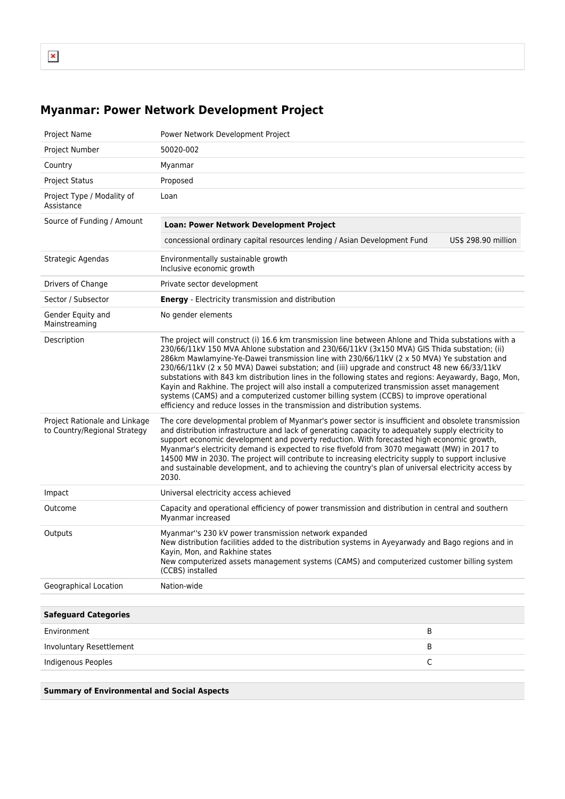## **Myanmar: Power Network Development Project**

| <b>Project Name</b>                                           | Power Network Development Project                                                                                                                                                                                                                                                                                                                                                                                                                                                                                                                                                                                                                                                                                                                                                      |
|---------------------------------------------------------------|----------------------------------------------------------------------------------------------------------------------------------------------------------------------------------------------------------------------------------------------------------------------------------------------------------------------------------------------------------------------------------------------------------------------------------------------------------------------------------------------------------------------------------------------------------------------------------------------------------------------------------------------------------------------------------------------------------------------------------------------------------------------------------------|
| Project Number                                                | 50020-002                                                                                                                                                                                                                                                                                                                                                                                                                                                                                                                                                                                                                                                                                                                                                                              |
| Country                                                       | Myanmar                                                                                                                                                                                                                                                                                                                                                                                                                                                                                                                                                                                                                                                                                                                                                                                |
| <b>Project Status</b>                                         | Proposed                                                                                                                                                                                                                                                                                                                                                                                                                                                                                                                                                                                                                                                                                                                                                                               |
| Project Type / Modality of<br>Assistance                      | Loan                                                                                                                                                                                                                                                                                                                                                                                                                                                                                                                                                                                                                                                                                                                                                                                   |
| Source of Funding / Amount                                    | Loan: Power Network Development Project                                                                                                                                                                                                                                                                                                                                                                                                                                                                                                                                                                                                                                                                                                                                                |
|                                                               | concessional ordinary capital resources lending / Asian Development Fund<br>US\$ 298.90 million                                                                                                                                                                                                                                                                                                                                                                                                                                                                                                                                                                                                                                                                                        |
| Strategic Agendas                                             | Environmentally sustainable growth<br>Inclusive economic growth                                                                                                                                                                                                                                                                                                                                                                                                                                                                                                                                                                                                                                                                                                                        |
| Drivers of Change                                             | Private sector development                                                                                                                                                                                                                                                                                                                                                                                                                                                                                                                                                                                                                                                                                                                                                             |
| Sector / Subsector                                            | <b>Energy</b> - Electricity transmission and distribution                                                                                                                                                                                                                                                                                                                                                                                                                                                                                                                                                                                                                                                                                                                              |
| Gender Equity and<br>Mainstreaming                            | No gender elements                                                                                                                                                                                                                                                                                                                                                                                                                                                                                                                                                                                                                                                                                                                                                                     |
| Description                                                   | The project will construct (i) 16.6 km transmission line between Ahlone and Thida substations with a<br>230/66/11kV 150 MVA Ahlone substation and 230/66/11kV (3x150 MVA) GIS Thida substation; (ii)<br>286km Mawlamyine-Ye-Dawei transmission line with 230/66/11kV (2 x 50 MVA) Ye substation and<br>230/66/11kV (2 x 50 MVA) Dawei substation; and (iii) upgrade and construct 48 new 66/33/11kV<br>substations with 843 km distribution lines in the following states and regions: Aeyawardy, Bago, Mon,<br>Kayin and Rakhine. The project will also install a computerized transmission asset management<br>systems (CAMS) and a computerized customer billing system (CCBS) to improve operational<br>efficiency and reduce losses in the transmission and distribution systems. |
| Project Rationale and Linkage<br>to Country/Regional Strategy | The core developmental problem of Myanmar's power sector is insufficient and obsolete transmission<br>and distribution infrastructure and lack of generating capacity to adequately supply electricity to<br>support economic development and poverty reduction. With forecasted high economic growth,<br>Myanmar's electricity demand is expected to rise fivefold from 3070 megawatt (MW) in 2017 to<br>14500 MW in 2030. The project will contribute to increasing electricity supply to support inclusive<br>and sustainable development, and to achieving the country's plan of universal electricity access by<br>2030.                                                                                                                                                          |
| Impact                                                        | Universal electricity access achieved                                                                                                                                                                                                                                                                                                                                                                                                                                                                                                                                                                                                                                                                                                                                                  |
| Outcome                                                       | Capacity and operational efficiency of power transmission and distribution in central and southern<br>Myanmar increased                                                                                                                                                                                                                                                                                                                                                                                                                                                                                                                                                                                                                                                                |
| Outputs                                                       | Myanmar"s 230 kV power transmission network expanded<br>New distribution facilities added to the distribution systems in Ayeyarwady and Bago regions and in<br>Kayin, Mon, and Rakhine states<br>New computerized assets management systems (CAMS) and computerized customer billing system<br>(CCBS) installed                                                                                                                                                                                                                                                                                                                                                                                                                                                                        |
| Geographical Location                                         | Nation-wide                                                                                                                                                                                                                                                                                                                                                                                                                                                                                                                                                                                                                                                                                                                                                                            |
|                                                               |                                                                                                                                                                                                                                                                                                                                                                                                                                                                                                                                                                                                                                                                                                                                                                                        |
| <b>Safeguard Categories</b>                                   |                                                                                                                                                                                                                                                                                                                                                                                                                                                                                                                                                                                                                                                                                                                                                                                        |
| Environment                                                   | В                                                                                                                                                                                                                                                                                                                                                                                                                                                                                                                                                                                                                                                                                                                                                                                      |
| Involuntary Resettlement                                      | В                                                                                                                                                                                                                                                                                                                                                                                                                                                                                                                                                                                                                                                                                                                                                                                      |
| <b>Indigenous Peoples</b>                                     | С                                                                                                                                                                                                                                                                                                                                                                                                                                                                                                                                                                                                                                                                                                                                                                                      |
|                                                               |                                                                                                                                                                                                                                                                                                                                                                                                                                                                                                                                                                                                                                                                                                                                                                                        |
|                                                               |                                                                                                                                                                                                                                                                                                                                                                                                                                                                                                                                                                                                                                                                                                                                                                                        |

**Summary of Environmental and Social Aspects**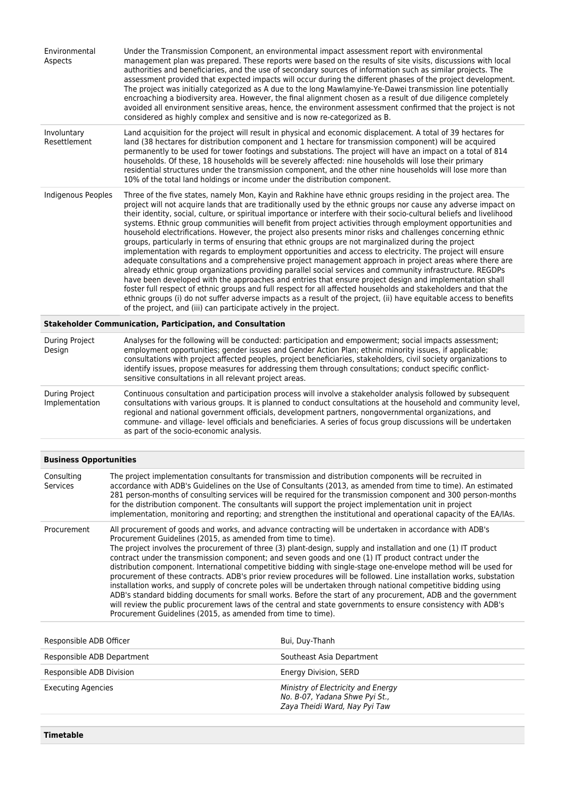| Environmental<br>Aspects                                          | Under the Transmission Component, an environmental impact assessment report with environmental<br>management plan was prepared. These reports were based on the results of site visits, discussions with local<br>authorities and beneficiaries, and the use of secondary sources of information such as similar projects. The<br>assessment provided that expected impacts will occur during the different phases of the project development.<br>The project was initially categorized as A due to the long Mawlamyine-Ye-Dawei transmission line potentially<br>encroaching a biodiversity area. However, the final alignment chosen as a result of due diligence completely<br>avoided all environment sensitive areas, hence, the environment assessment confirmed that the project is not<br>considered as highly complex and sensitive and is now re-categorized as B.                                                                                                                                                                                                                                                                                                                                                                                                                                                                                                                                                                                     |  |
|-------------------------------------------------------------------|------------------------------------------------------------------------------------------------------------------------------------------------------------------------------------------------------------------------------------------------------------------------------------------------------------------------------------------------------------------------------------------------------------------------------------------------------------------------------------------------------------------------------------------------------------------------------------------------------------------------------------------------------------------------------------------------------------------------------------------------------------------------------------------------------------------------------------------------------------------------------------------------------------------------------------------------------------------------------------------------------------------------------------------------------------------------------------------------------------------------------------------------------------------------------------------------------------------------------------------------------------------------------------------------------------------------------------------------------------------------------------------------------------------------------------------------------------------|--|
| Involuntary<br>Resettlement                                       | Land acquisition for the project will result in physical and economic displacement. A total of 39 hectares for<br>land (38 hectares for distribution component and 1 hectare for transmission component) will be acquired<br>permanently to be used for tower footings and substations. The project will have an impact on a total of 814<br>households. Of these, 18 households will be severely affected: nine households will lose their primary<br>residential structures under the transmission component, and the other nine households will lose more than<br>10% of the total land holdings or income under the distribution component.                                                                                                                                                                                                                                                                                                                                                                                                                                                                                                                                                                                                                                                                                                                                                                                                                  |  |
| Indigenous Peoples                                                | Three of the five states, namely Mon, Kayin and Rakhine have ethnic groups residing in the project area. The<br>project will not acquire lands that are traditionally used by the ethnic groups nor cause any adverse impact on<br>their identity, social, culture, or spiritual importance or interfere with their socio-cultural beliefs and livelihood<br>systems. Ethnic group communities will benefit from project activities through employment opportunities and<br>household electrifications. However, the project also presents minor risks and challenges concerning ethnic<br>groups, particularly in terms of ensuring that ethnic groups are not marginalized during the project<br>implementation with regards to employment opportunities and access to electricity. The project will ensure<br>adequate consultations and a comprehensive project management approach in project areas where there are<br>already ethnic group organizations providing parallel social services and community infrastructure. REGDPs<br>have been developed with the approaches and entries that ensure project design and implementation shall<br>foster full respect of ethnic groups and full respect for all affected households and stakeholders and that the<br>ethnic groups (i) do not suffer adverse impacts as a result of the project, (ii) have equitable access to benefits<br>of the project, and (iii) can participate actively in the project. |  |
| <b>Stakeholder Communication, Participation, and Consultation</b> |                                                                                                                                                                                                                                                                                                                                                                                                                                                                                                                                                                                                                                                                                                                                                                                                                                                                                                                                                                                                                                                                                                                                                                                                                                                                                                                                                                                                                                                                  |  |

| During Project<br>Design         | Analyses for the following will be conducted: participation and empowerment; social impacts assessment;<br>employment opportunities; gender issues and Gender Action Plan; ethnic minority issues, if applicable;<br>consultations with project affected peoples, project beneficiaries, stakeholders, civil society organizations to<br>identify issues, propose measures for addressing them through consultations; conduct specific conflict-<br>sensitive consultations in all relevant project areas. |
|----------------------------------|------------------------------------------------------------------------------------------------------------------------------------------------------------------------------------------------------------------------------------------------------------------------------------------------------------------------------------------------------------------------------------------------------------------------------------------------------------------------------------------------------------|
| During Project<br>Implementation | Continuous consultation and participation process will involve a stakeholder analysis followed by subsequent<br>consultations with various groups. It is planned to conduct consultations at the household and community level<br>regional and national government officials, development partners, nongovernmental organizations, and<br>commune- and village- level officials and beneficiaries. A series of focus group discussions will be undertaken<br>as part of the socio-economic analysis.       |

| Consulting<br>Services | The project implementation consultants for transmission and distribution components will be recruited in<br>accordance with ADB's Guidelines on the Use of Consultants (2013, as amended from time to time). An estimated<br>281 person-months of consulting services will be required for the transmission component and 300 person-months<br>for the distribution component. The consultants will support the project implementation unit in project<br>implementation, monitoring and reporting; and strengthen the institutional and operational capacity of the EA/IAs.                                                                                                                                                                                                                                                                                                                                                                                                                                                                                     |
|------------------------|------------------------------------------------------------------------------------------------------------------------------------------------------------------------------------------------------------------------------------------------------------------------------------------------------------------------------------------------------------------------------------------------------------------------------------------------------------------------------------------------------------------------------------------------------------------------------------------------------------------------------------------------------------------------------------------------------------------------------------------------------------------------------------------------------------------------------------------------------------------------------------------------------------------------------------------------------------------------------------------------------------------------------------------------------------------|
| Procurement            | All procurement of goods and works, and advance contracting will be undertaken in accordance with ADB's<br>Procurement Guidelines (2015, as amended from time to time).<br>The project involves the procurement of three (3) plant-design, supply and installation and one (1) IT product<br>contract under the transmission component; and seven goods and one (1) IT product contract under the<br>distribution component. International competitive bidding with single-stage one-envelope method will be used for<br>procurement of these contracts. ADB's prior review procedures will be followed. Line installation works, substation<br>installation works, and supply of concrete poles will be undertaken through national competitive bidding using<br>ADB's standard bidding documents for small works. Before the start of any procurement, ADB and the government<br>will review the public procurement laws of the central and state governments to ensure consistency with ADB's<br>Procurement Guidelines (2015, as amended from time to time). |

| Responsible ADB Officer    | Bui, Duy-Thanh                                                                                        |
|----------------------------|-------------------------------------------------------------------------------------------------------|
| Responsible ADB Department | Southeast Asia Department                                                                             |
| Responsible ADB Division   | Energy Division, SERD                                                                                 |
| Executing Agencies         | Ministry of Electricity and Energy<br>No. B-07, Yadana Shwe Pyi St.,<br>Zaya Theidi Ward, Nay Pyi Taw |